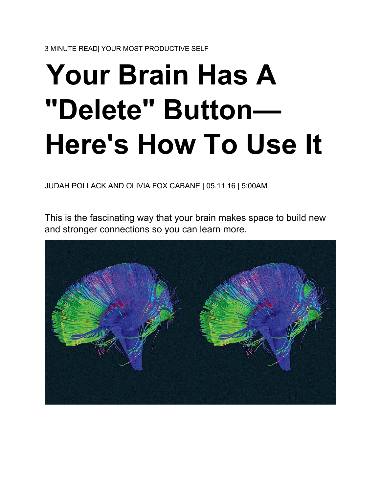# **Your Brain Has A "Delete" Button— Here's How To Use It**

JUDAH POLLACK AND OLIVIA FOX CABANE | 05.11.16 | 5:00AM

This is the fascinating way that your brain makes space to build new and stronger connections so you can learn more.

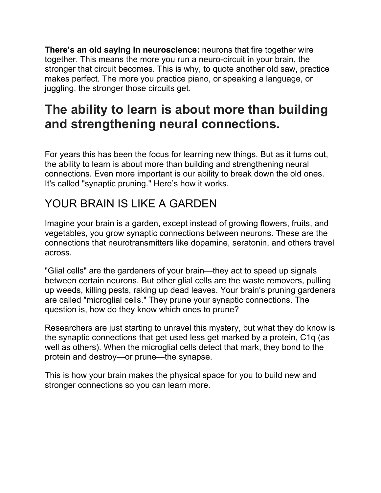**There's an old saying in neuroscience:** neurons that fire together wire together. This means the more you run a neuro-circuit in your brain, the stronger that circuit becomes. This is why, to quote another old saw, practice makes perfect. The more you practice piano, or speaking a language, or juggling, the stronger those circuits get.

## **The ability to learn is about more than building and strengthening neural connections.**

For years this has been the focus for learning new things. But as it turns out, the ability to learn is about more than building and strengthening neural connections. Even more important is our ability to break down the old ones. It's called "synaptic pruning." Here's how it works.

### YOUR BRAIN IS LIKE A GARDEN

Imagine your brain is a garden, except instead of growing flowers, fruits, and vegetables, you grow synaptic connections between neurons. These are the connections that neurotransmitters like dopamine, seratonin, and others travel across.

"Glial cells" are the gardeners of your brain—they act to speed up signals between certain neurons. But other glial cells are the waste removers, pulling up weeds, killing pests, raking up dead leaves. Your brain's pruning gardeners are called "microglial cells." They prune your synaptic connections. The question is, how do they know which ones to prune?

Researchers are just starting to unravel this mystery, but what they do know is the synaptic connections that get used less get marked by a protein, C1q (as well as others). When the microglial cells detect that mark, they bond to the protein and destroy—or prune—the synapse.

This is how your brain makes the physical space for you to build new and stronger connections so you can learn more.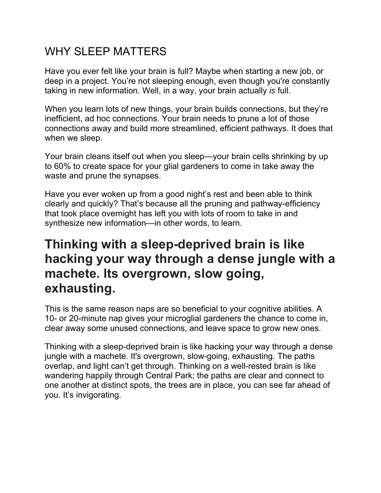### WHY SLEEP MATTERS

Have you ever felt like your brain is full? Maybe when starting a new job, or deep in a project. You're not sleeping enough, even though you're constantly taking in new information. Well, in a way, your brain actually *is* full.

When you learn lots of new things, your brain builds connections, but they're inefficient, ad hoc connections. Your brain needs to prune a lot of those connections away and build more streamlined, efficient pathways. It does that when we sleep.

Your brain cleans itself out when you sleep—your brain cells shrinking by up to 60% to create space for your glial gardeners to come in take away the waste and prune the synapses.

Have you ever woken up from a good night's rest and been able to think clearly and quickly? That's because all the pruning and pathway-efficiency that took place overnight has left you with lots of room to take in and synthesize new information—in other words, to learn.

## **Thinking with a sleep-deprived brain is like hacking your way through a dense jungle with a machete. Its overgrown, slow going, exhausting.**

This is the same reason naps are so beneficial to your cognitive abilities. A 10- or 20-minute nap gives your microglial gardeners the chance to come in, clear away some unused connections, and leave space to grow new ones.

Thinking with a sleep-deprived brain is like hacking your way through a dense jungle with a machete. It's overgrown, slow-going, exhausting. The paths overlap, and light can't get through. Thinking on a well-rested brain is like wandering happily through Central Park; the paths are clear and connect to one another at distinct spots, the trees are in place, you can see far ahead of you. It's invigorating.